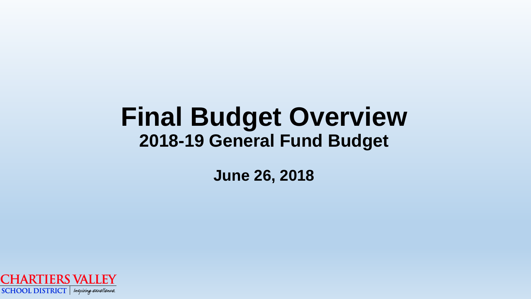### **Final Budget Overview 2018-19 General Fund Budget**

**June 26, 2018**

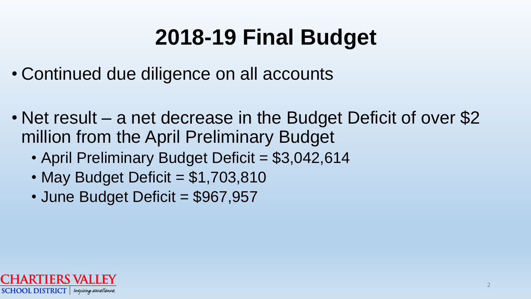- Continued due diligence on all accounts
- Net result a net decrease in the Budget Deficit of over \$2 million from the April Preliminary Budget
	- April Preliminary Budget Deficit = \$3,042,614
	- May Budget Deficit  $= $1,703,810$
	- June Budget Deficit = \$967,957

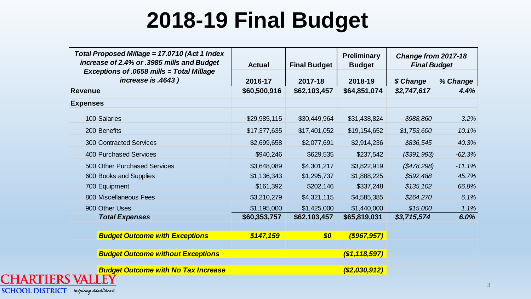| Total Proposed Millage = 17.0710 (Act 1 Index<br>increase of 2.4% or .3985 mills and Budget<br><b>Exceptions of .0658 mills = Total Millage</b> | <b>Actual</b> | <b>Final Budget</b> | <b>Preliminary</b><br><b>Budget</b> | Change from 2017-18<br><b>Final Budget</b> |          |
|-------------------------------------------------------------------------------------------------------------------------------------------------|---------------|---------------------|-------------------------------------|--------------------------------------------|----------|
| increase is .4643)                                                                                                                              | 2016-17       | 2017-18             | 2018-19                             | \$ Change                                  | % Change |
| <b>Revenue</b>                                                                                                                                  | \$60,500,916  | \$62,103,457        | \$64,851,074                        | \$2,747,617                                | 4.4%     |
| <b>Expenses</b>                                                                                                                                 |               |                     |                                     |                                            |          |
| 100 Salaries                                                                                                                                    | \$29,985,115  | \$30,449,964        | \$31,438,824                        | \$988,860                                  | 3.2%     |
| 200 Benefits                                                                                                                                    | \$17,377,635  | \$17,401,052        | \$19,154,652                        | \$1,753,600                                | 10.1%    |
| <b>300 Contracted Services</b>                                                                                                                  | \$2,699,658   | \$2,077,691         | \$2,914,236                         | \$836,545                                  | 40.3%    |
| <b>400 Purchased Services</b>                                                                                                                   | \$940,246     | \$629,535           | \$237,542                           | ( \$391, 993)                              | $-62.3%$ |
| 500 Other Purchased Services                                                                                                                    | \$3,648,089   | \$4,301,217         | \$3,822,919                         | $(\$478,298)$                              | $-11.1%$ |
| 600 Books and Supplies                                                                                                                          | \$1,136,343   | \$1,295,737         | \$1,888,225                         | \$592,488                                  | 45.7%    |
| 700 Equipment                                                                                                                                   | \$161,392     | \$202,146           | \$337,248                           | \$135,102                                  | 66.8%    |
| 800 Miscellaneous Fees                                                                                                                          | \$3,210,279   | \$4,321,115         | \$4,585,385                         | \$264,270                                  | 6.1%     |
| 900 Other Uses                                                                                                                                  | \$1,195,000   | \$1,425,000         | \$1,440,000                         | \$15,000                                   | 1.1%     |
| <b>Total Expenses</b>                                                                                                                           | \$60,353,757  | \$62,103,457        | \$65,819,031                        | \$3,715,574                                | 6.0%     |
| <b>Budget Outcome with Exceptions</b>                                                                                                           | \$147,159     | \$0                 | $($ \$967,957)                      |                                            |          |
| <b>Budget Outcome without Exceptions</b>                                                                                                        |               |                     | ( \$1,118,597)                      |                                            |          |
| <b>Budget Outcome with No Tax Increase</b><br><b>TATTINI</b>                                                                                    |               |                     | ( \$2,030,912)                      |                                            |          |

**SCHOOL DISTRICT** | Inspiring excellence.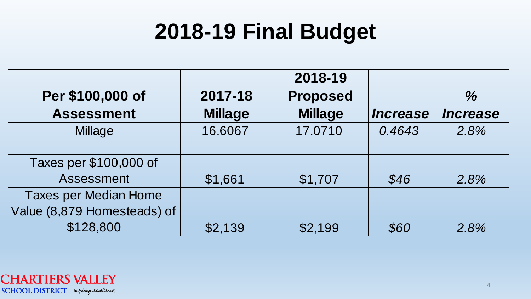| 2018-19 Final Budget         |                |                 |                        |                        |
|------------------------------|----------------|-----------------|------------------------|------------------------|
|                              |                | 2018-19         |                        |                        |
| Per \$100,000 of             | 2017-18        | <b>Proposed</b> |                        | $\frac{0}{6}$          |
| <b>Assessment</b>            | <b>Millage</b> | <b>Millage</b>  | <i><b>Increase</b></i> | <i><b>Increase</b></i> |
| <b>Millage</b>               | 16.6067        | 17.0710         | 0.4643                 | 2.8%                   |
|                              |                |                 |                        |                        |
| Taxes per \$100,000 of       |                |                 |                        |                        |
| Assessment                   | \$1,661        | \$1,707         | \$46                   | 2.8%                   |
| <b>Taxes per Median Home</b> |                |                 |                        |                        |
| Value (8,879 Homesteads) of  |                |                 |                        |                        |
| \$128,800                    | \$2,139        | \$2,199         | \$60                   | 2.8%                   |

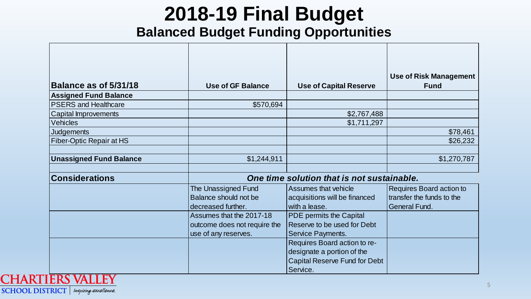#### **Balanced Budget Funding Opportunities**

| Balance as of 5/31/18           | <b>Use of GF Balance</b>                                                         | <b>Use of Capital Reserve</b>                                                                      | <b>Use of Risk Management</b><br><b>Fund</b>                                  |
|---------------------------------|----------------------------------------------------------------------------------|----------------------------------------------------------------------------------------------------|-------------------------------------------------------------------------------|
| <b>Assigned Fund Balance</b>    |                                                                                  |                                                                                                    |                                                                               |
| <b>PSERS and Healthcare</b>     | \$570,694                                                                        |                                                                                                    |                                                                               |
| Capital Improvements            |                                                                                  | \$2,767,488                                                                                        |                                                                               |
| <b>Vehicles</b>                 |                                                                                  | \$1,711,297                                                                                        |                                                                               |
| <b>Judgements</b>               |                                                                                  |                                                                                                    | \$78,461                                                                      |
| <b>Fiber-Optic Repair at HS</b> |                                                                                  |                                                                                                    | \$26,232                                                                      |
| <b>Unassigned Fund Balance</b>  | \$1,244,911                                                                      |                                                                                                    | \$1,270,787                                                                   |
| <b>Considerations</b>           |                                                                                  | One time solution that is not sustainable.                                                         |                                                                               |
|                                 | The Unassigned Fund<br>Balance should not be<br>decreased further.               | Assumes that vehicle<br>acquisitions will be financed<br>with a lease.                             | Requires Board action to<br>transfer the funds to the<br><b>General Fund.</b> |
|                                 | Assumes that the 2017-18<br>outcome does not require the<br>use of any reserves. | PDE permits the Capital<br>Reserve to be used for Debt<br>Service Payments.                        |                                                                               |
|                                 |                                                                                  | Requires Board action to re-<br>designate a portion of the<br><b>Capital Reserve Fund for Debt</b> |                                                                               |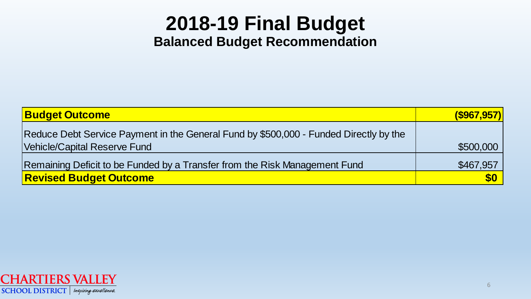### **2018-19 Final Budget Balanced Budget Recommendation**

| <b>Budget Outcome</b>                                                                 | $($ \$967,957 $)$ |
|---------------------------------------------------------------------------------------|-------------------|
| Reduce Debt Service Payment in the General Fund by \$500,000 - Funded Directly by the |                   |
| Vehicle/Capital Reserve Fund                                                          | \$500,000         |
| Remaining Deficit to be Funded by a Transfer from the Risk Management Fund            | \$467,957         |
| <b>Revised Budget Outcome</b>                                                         | <b>\$0</b>        |

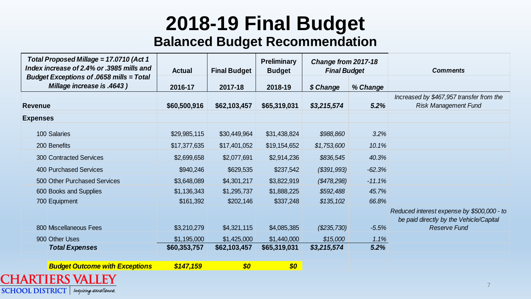#### **Balanced Budget Recommendation**

| Total Proposed Millage = 17.0710 (Act 1<br>Index increase of 2.4% or .3985 mills and | <b>Actual</b> | <b>Final Budget</b> | <b>Preliminary</b><br><b>Budget</b> | Change from 2017-18<br><b>Final Budget</b> |          | <b>Comments</b>                                                                                              |
|--------------------------------------------------------------------------------------|---------------|---------------------|-------------------------------------|--------------------------------------------|----------|--------------------------------------------------------------------------------------------------------------|
| <b>Budget Exceptions of .0658 mills = Total</b><br>Millage increase is .4643 )       | 2016-17       | 2017-18             | 2018-19                             | \$ Change                                  | % Change |                                                                                                              |
| <b>Revenue</b>                                                                       | \$60,500,916  | \$62,103,457        | \$65,319,031                        | \$3,215,574                                | 5.2%     | Increased by \$467,957 transfer from the<br><b>Risk Management Fund</b>                                      |
| <b>Expenses</b>                                                                      |               |                     |                                     |                                            |          |                                                                                                              |
| 100 Salaries                                                                         | \$29,985,115  | \$30,449,964        | \$31,438,824                        | \$988,860                                  | 3.2%     |                                                                                                              |
| 200 Benefits                                                                         | \$17,377,635  | \$17,401,052        | \$19,154,652                        | \$1,753,600                                | 10.1%    |                                                                                                              |
| <b>300 Contracted Services</b>                                                       | \$2,699,658   | \$2,077,691         | \$2,914,236                         | \$836,545                                  | 40.3%    |                                                                                                              |
| <b>400 Purchased Services</b>                                                        | \$940,246     | \$629,535           | \$237,542                           | ( \$391, 993)                              | $-62.3%$ |                                                                                                              |
| 500 Other Purchased Services                                                         | \$3,648,089   | \$4,301,217         | \$3,822,919                         | (\$478,298)                                | $-11.1%$ |                                                                                                              |
| 600 Books and Supplies                                                               | \$1,136,343   | \$1,295,737         | \$1,888,225                         | \$592,488                                  | 45.7%    |                                                                                                              |
| 700 Equipment                                                                        | \$161,392     | \$202,146           | \$337,248                           | \$135,102                                  | 66.8%    |                                                                                                              |
| 800 Miscellaneous Fees                                                               | \$3,210,279   | \$4,321,115         | \$4,085,385                         | (\$235,730)                                | $-5.5%$  | Reduced interest expense by \$500,000 - to<br>be paid directly by the Vehicle/Capital<br><b>Reserve Fund</b> |
| 900 Other Uses                                                                       | \$1,195,000   | \$1,425,000         | \$1,440,000                         | \$15,000                                   | 1.1%     |                                                                                                              |
| <b>Total Expenses</b>                                                                | \$60,353,757  | \$62,103,457        | \$65,319,031                        | \$3,215,574                                | 5.2%     |                                                                                                              |
| <b>Budget Outcome with Exceptions</b>                                                | \$147,159     | \$0                 | \$0                                 |                                            |          |                                                                                                              |
| <b>ARTIERS VALLEY</b>                                                                |               |                     |                                     |                                            |          |                                                                                                              |

SCHOOL DISTRICT | Inspiring excellence.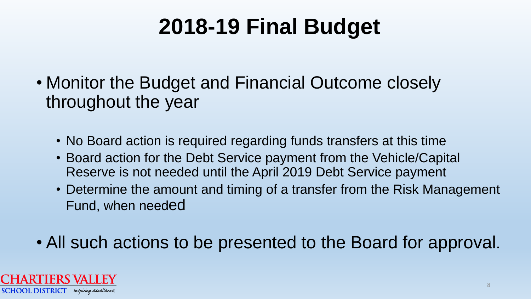- Monitor the Budget and Financial Outcome closely throughout the year
	- No Board action is required regarding funds transfers at this time
	- Board action for the Debt Service payment from the Vehicle/Capital Reserve is not needed until the April 2019 Debt Service payment
	- Determine the amount and timing of a transfer from the Risk Management Fund, when needed
- All such actions to be presented to the Board for approval.

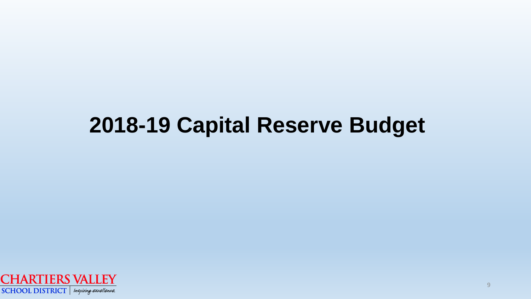### **2018-19 Capital Reserve Budget**

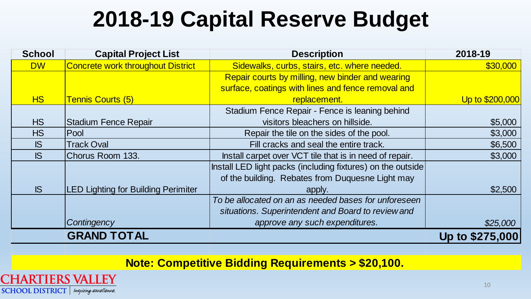### **2018-19 Capital Reserve Budget**

| <b>School</b> | <b>Capital Project List</b>                | <b>Description</b>                                          | 2018-19         |
|---------------|--------------------------------------------|-------------------------------------------------------------|-----------------|
| <b>DW</b>     | Concrete work throughout District          | Sidewalks, curbs, stairs, etc. where needed.                | \$30,000        |
|               |                                            | Repair courts by milling, new binder and wearing            |                 |
|               |                                            | surface, coatings with lines and fence removal and          |                 |
| <b>HS</b>     | <b>Tennis Courts (5)</b>                   | replacement.                                                | Up to \$200,000 |
|               |                                            | Stadium Fence Repair - Fence is leaning behind              |                 |
| <b>HS</b>     | Stadium Fence Repair                       | visitors bleachers on hillside.                             | \$5,000         |
| <b>HS</b>     | Pool                                       | Repair the tile on the sides of the pool.                   | \$3,000         |
| IS            | <b>Track Oval</b>                          | Fill cracks and seal the entire track.                      | \$6,500         |
| IS            | Chorus Room 133.                           | Install carpet over VCT tile that is in need of repair.     | \$3,000         |
|               |                                            | Install LED light packs (including fixtures) on the outside |                 |
|               |                                            | of the building. Rebates from Duquesne Light may            |                 |
| IS            | <b>LED Lighting for Building Perimiter</b> | apply.                                                      | \$2,500         |
|               |                                            | To be allocated on an as needed bases for unforeseen        |                 |
|               |                                            | situations. Superintendent and Board to review and          |                 |
|               | Contingency                                | approve any such expenditures.                              | \$25,000        |
|               | <b>GRAND TOTAL</b>                         |                                                             | Up to \$275,000 |

**Note: Competitive Bidding Requirements > \$20,100.** 

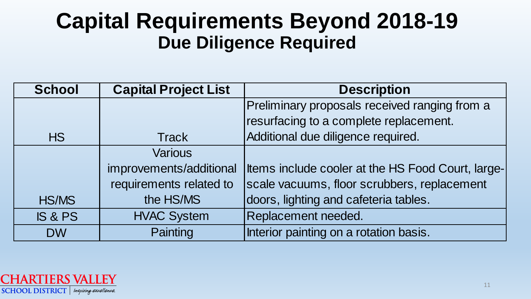### **Capital Requirements Beyond 2018-19 Due Diligence Required**

| <b>School</b>      | <b>Capital Project List</b> | <b>Description</b>                                |
|--------------------|-----------------------------|---------------------------------------------------|
|                    |                             | Preliminary proposals received ranging from a     |
|                    |                             | resurfacing to a complete replacement.            |
| <b>HS</b>          | <b>Track</b>                | Additional due diligence required.                |
|                    | <b>Various</b>              |                                                   |
|                    | improvements/additional     | Items include cooler at the HS Food Court, large- |
|                    | requirements related to     | scale vacuums, floor scrubbers, replacement       |
| <b>HS/MS</b>       | the HS/MS                   | doors, lighting and cafeteria tables.             |
| <b>IS &amp; PS</b> | <b>HVAC System</b>          | Replacement needed.                               |
| <b>DW</b>          | Painting                    | Interior painting on a rotation basis.            |

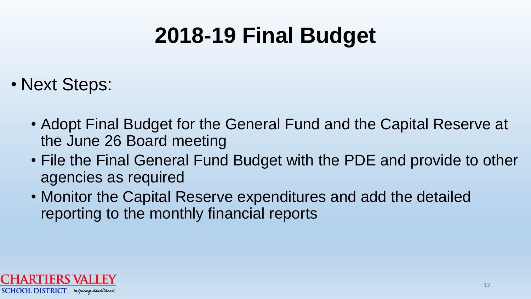- Next Steps:
	- Adopt Final Budget for the General Fund and the Capital Reserve at the June 26 Board meeting
	- File the Final General Fund Budget with the PDE and provide to other agencies as required
	- Monitor the Capital Reserve expenditures and add the detailed reporting to the monthly financial reports